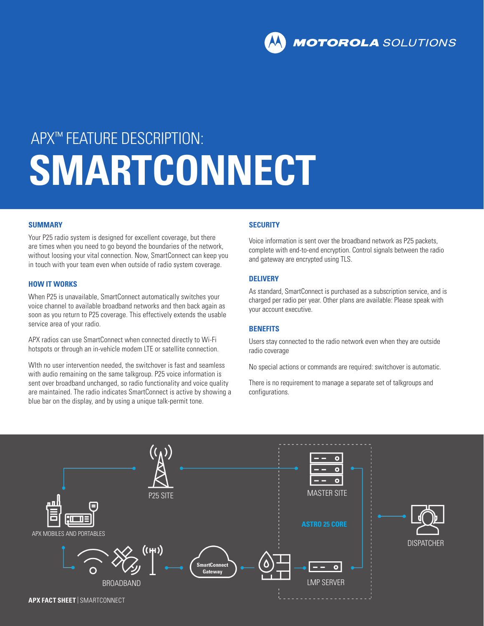**MOTOROLA** SOLUTIONS

# APX™ FEATURE DESCRIPTION: **SMARTCONNECT**

#### **SUMMARY**

Your P25 radio system is designed for excellent coverage, but there are times when you need to go beyond the boundaries of the network, without loosing your vital connection. Now, SmartConnect can keep you in touch with your team even when outside of radio system coverage.

#### **HOW IT WORKS**

When P25 is unavailable, SmartConnect automatically switches your voice channel to available broadband networks and then back again as soon as you return to P25 coverage. This effectively extends the usable service area of your radio.

APX radios can use SmartConnect when connected directly to Wi-Fi hotspots or through an in-vehicle modem LTE or satellite connection.

WIth no user intervention needed, the switchover is fast and seamless with audio remaining on the same talkgroup. P25 voice information is sent over broadband unchanged, so radio functionality and voice quality are maintained. The radio indicates SmartConnect is active by showing a blue bar on the display, and by using a unique talk-permit tone.

#### **SECURITY**

Voice information is sent over the broadband network as P25 packets, complete with end-to-end encryption. Control signals between the radio and gateway are encrypted using TLS.

#### **DELIVERY**

As standard, SmartConnect is purchased as a subscription service, and is charged per radio per year. Other plans are available: Please speak with your account executive.

#### **BENEFITS**

Users stay connected to the radio network even when they are outside radio coverage

No special actions or commands are required: switchover is automatic.

There is no requirement to manage a separate set of talkgroups and configurations.